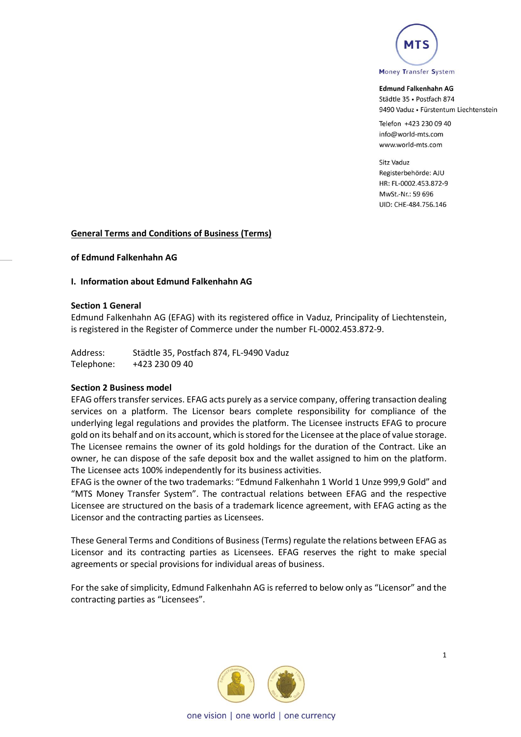

Telefon +423 230 09 40 info@world-mts.com www.world-mts.com

Sitz Vaduz Registerbehörde: AIU HR: FL-0002.453.872-9 MwSt.-Nr.: 59 696 UID: CHE-484.756.146

#### **General Terms and Conditions of Business (Terms)**

**of Edmund Falkenhahn AG** 

#### **I. Information about Edmund Falkenhahn AG**

#### **Section 1 General**

Edmund Falkenhahn AG (EFAG) with its registered office in Vaduz, Principality of Liechtenstein, is registered in the Register of Commerce under the number FL-0002.453.872-9.

Address: Städtle 35, Postfach 874, FL-9490 Vaduz Telephone: +423 230 09 40

#### **Section 2 Business model**

EFAG offers transfer services. EFAG acts purely as a service company, offering transaction dealing services on a platform. The Licensor bears complete responsibility for compliance of the underlying legal regulations and provides the platform. The Licensee instructs EFAG to procure gold on its behalf and on its account, which is stored for the Licensee at the place of value storage. The Licensee remains the owner of its gold holdings for the duration of the Contract. Like an owner, he can dispose of the safe deposit box and the wallet assigned to him on the platform. The Licensee acts 100% independently for its business activities.

EFAG is the owner of the two trademarks: "Edmund Falkenhahn 1 World 1 Unze 999,9 Gold" and "MTS Money Transfer System". The contractual relations between EFAG and the respective Licensee are structured on the basis of a trademark licence agreement, with EFAG acting as the Licensor and the contracting parties as Licensees.

These General Terms and Conditions of Business (Terms) regulate the relations between EFAG as Licensor and its contracting parties as Licensees. EFAG reserves the right to make special agreements or special provisions for individual areas of business.

For the sake of simplicity, Edmund Falkenhahn AG is referred to below only as "Licensor" and the contracting parties as "Licensees".

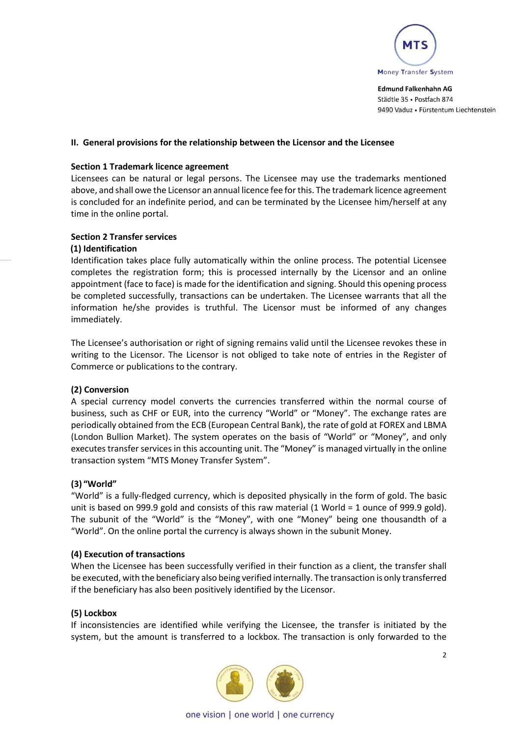

#### **II. General provisions for the relationship between the Licensor and the Licensee**

#### **Section 1 Trademark licence agreement**

Licensees can be natural or legal persons. The Licensee may use the trademarks mentioned above, and shall owe the Licensor an annual licence fee for this. The trademark licence agreement is concluded for an indefinite period, and can be terminated by the Licensee him/herself at any time in the online portal.

#### **Section 2 Transfer services**

#### **(1) Identification**

Identification takes place fully automatically within the online process. The potential Licensee completes the registration form; this is processed internally by the Licensor and an online appointment (face to face) is made for the identification and signing. Should this opening process be completed successfully, transactions can be undertaken. The Licensee warrants that all the information he/she provides is truthful. The Licensor must be informed of any changes immediately.

The Licensee's authorisation or right of signing remains valid until the Licensee revokes these in writing to the Licensor. The Licensor is not obliged to take note of entries in the Register of Commerce or publications to the contrary.

## **(2) Conversion**

A special currency model converts the currencies transferred within the normal course of business, such as CHF or EUR, into the currency "World" or "Money". The exchange rates are periodically obtained from the ECB (European Central Bank), the rate of gold at FOREX and LBMA (London Bullion Market). The system operates on the basis of "World" or "Money", and only executes transfer services in this accounting unit. The "Money" is managed virtually in the online transaction system "MTS Money Transfer System".

#### **(3) "World"**

"World" is a fully-fledged currency, which is deposited physically in the form of gold. The basic unit is based on 999.9 gold and consists of this raw material (1 World = 1 ounce of 999.9 gold). The subunit of the "World" is the "Money", with one "Money" being one thousandth of a "World". On the online portal the currency is always shown in the subunit Money.

#### **(4) Execution of transactions**

When the Licensee has been successfully verified in their function as a client, the transfer shall be executed, with the beneficiary also being verified internally. The transaction is only transferred if the beneficiary has also been positively identified by the Licensor.

#### **(5) Lockbox**

If inconsistencies are identified while verifying the Licensee, the transfer is initiated by the system, but the amount is transferred to a lockbox. The transaction is only forwarded to the



one vision | one world | one currency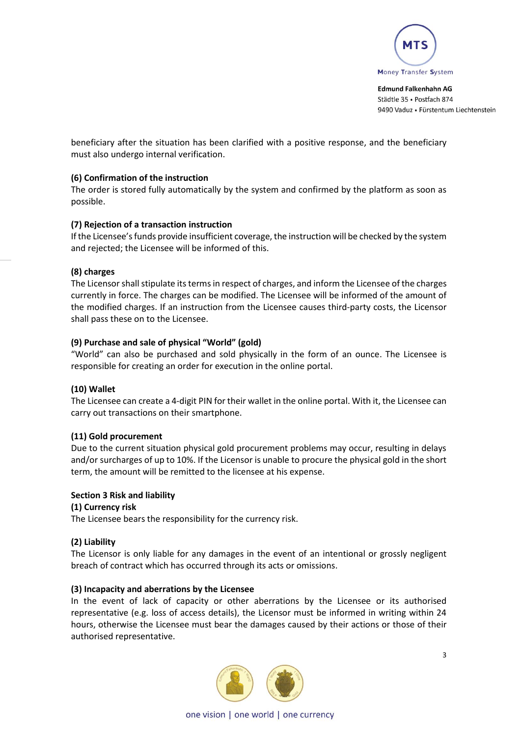

beneficiary after the situation has been clarified with a positive response, and the beneficiary must also undergo internal verification.

# **(6) Confirmation of the instruction**

The order is stored fully automatically by the system and confirmed by the platform as soon as possible.

# **(7) Rejection of a transaction instruction**

If the Licensee's funds provide insufficient coverage, the instruction will be checked by the system and rejected; the Licensee will be informed of this.

# **(8) charges**

The Licensor shall stipulate its terms in respect of charges, and inform the Licensee of the charges currently in force. The charges can be modified. The Licensee will be informed of the amount of the modified charges. If an instruction from the Licensee causes third-party costs, the Licensor shall pass these on to the Licensee.

# **(9) Purchase and sale of physical "World" (gold)**

"World" can also be purchased and sold physically in the form of an ounce. The Licensee is responsible for creating an order for execution in the online portal.

## **(10) Wallet**

The Licensee can create a 4-digit PIN for their wallet in the online portal. With it, the Licensee can carry out transactions on their smartphone.

## **(11) Gold procurement**

Due to the current situation physical gold procurement problems may occur, resulting in delays and/or surcharges of up to 10%. If the Licensor is unable to procure the physical gold in the short term, the amount will be remitted to the licensee at his expense.

## **Section 3 Risk and liability**

## **(1) Currency risk**

The Licensee bears the responsibility for the currency risk.

## **(2) Liability**

The Licensor is only liable for any damages in the event of an intentional or grossly negligent breach of contract which has occurred through its acts or omissions.

## **(3) Incapacity and aberrations by the Licensee**

In the event of lack of capacity or other aberrations by the Licensee or its authorised representative (e.g. loss of access details), the Licensor must be informed in writing within 24 hours, otherwise the Licensee must bear the damages caused by their actions or those of their authorised representative.



one vision | one world | one currency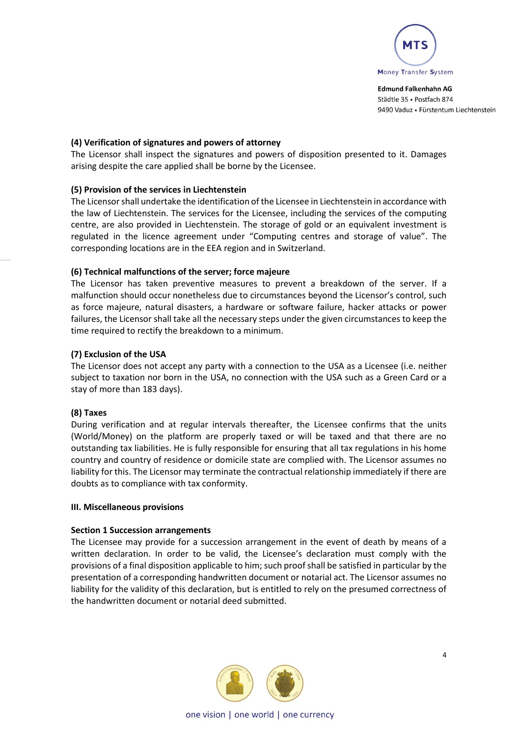

# **(4) Verification of signatures and powers of attorney**

The Licensor shall inspect the signatures and powers of disposition presented to it. Damages arising despite the care applied shall be borne by the Licensee.

## **(5) Provision of the services in Liechtenstein**

The Licensorshall undertake the identification of the Licensee in Liechtenstein in accordance with the law of Liechtenstein. The services for the Licensee, including the services of the computing centre, are also provided in Liechtenstein. The storage of gold or an equivalent investment is regulated in the licence agreement under "Computing centres and storage of value". The corresponding locations are in the EEA region and in Switzerland.

# **(6) Technical malfunctions of the server; force majeure**

The Licensor has taken preventive measures to prevent a breakdown of the server. If a malfunction should occur nonetheless due to circumstances beyond the Licensor's control, such as force majeure, natural disasters, a hardware or software failure, hacker attacks or power failures, the Licensor shall take all the necessary steps under the given circumstances to keep the time required to rectify the breakdown to a minimum.

# **(7) Exclusion of the USA**

The Licensor does not accept any party with a connection to the USA as a Licensee (i.e. neither subject to taxation nor born in the USA, no connection with the USA such as a Green Card or a stay of more than 183 days).

## **(8) Taxes**

During verification and at regular intervals thereafter, the Licensee confirms that the units (World/Money) on the platform are properly taxed or will be taxed and that there are no outstanding tax liabilities. He is fully responsible for ensuring that all tax regulations in his home country and country of residence or domicile state are complied with. The Licensor assumes no liability for this. The Licensor may terminate the contractual relationship immediately if there are doubts as to compliance with tax conformity.

## **III. Miscellaneous provisions**

## **Section 1 Succession arrangements**

The Licensee may provide for a succession arrangement in the event of death by means of a written declaration. In order to be valid, the Licensee's declaration must comply with the provisions of a final disposition applicable to him; such proof shall be satisfied in particular by the presentation of a corresponding handwritten document or notarial act. The Licensor assumes no liability for the validity of this declaration, but is entitled to rely on the presumed correctness of the handwritten document or notarial deed submitted.

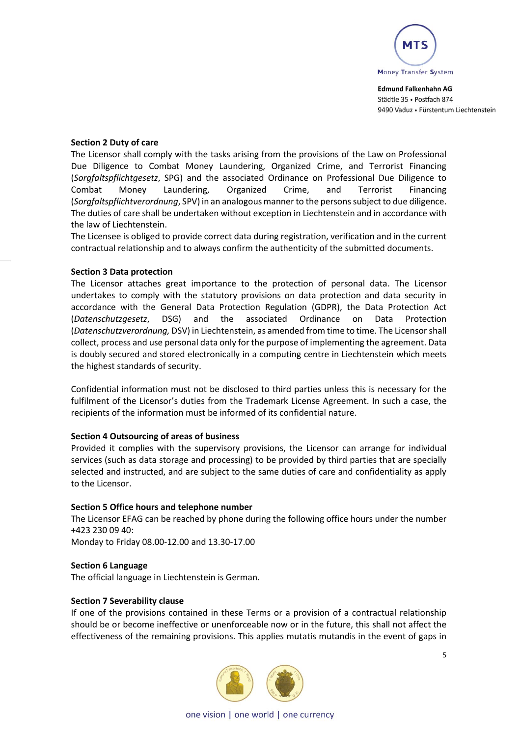

## **Section 2 Duty of care**

The Licensor shall comply with the tasks arising from the provisions of the Law on Professional Due Diligence to Combat Money Laundering, Organized Crime, and Terrorist Financing (*Sorgfaltspflichtgesetz*, SPG) and the associated Ordinance on Professional Due Diligence to Combat Money Laundering, Organized Crime, and Terrorist Financing (*Sorgfaltspflichtverordnung*, SPV) in an analogous manner to the persons subject to due diligence. The duties of care shall be undertaken without exception in Liechtenstein and in accordance with the law of Liechtenstein.

The Licensee is obliged to provide correct data during registration, verification and in the current contractual relationship and to always confirm the authenticity of the submitted documents.

# **Section 3 Data protection**

The Licensor attaches great importance to the protection of personal data. The Licensor undertakes to comply with the statutory provisions on data protection and data security in accordance with the General Data Protection Regulation (GDPR), the Data Protection Act (*Datenschutzgesetz*, DSG) and the associated Ordinance on Data Protection (*Datenschutzverordnung,* DSV) in Liechtenstein, as amended from time to time. The Licensorshall collect, process and use personal data only for the purpose of implementing the agreement. Data is doubly secured and stored electronically in a computing centre in Liechtenstein which meets the highest standards of security.

Confidential information must not be disclosed to third parties unless this is necessary for the fulfilment of the Licensor's duties from the Trademark License Agreement. In such a case, the recipients of the information must be informed of its confidential nature.

## **Section 4 Outsourcing of areas of business**

Provided it complies with the supervisory provisions, the Licensor can arrange for individual services (such as data storage and processing) to be provided by third parties that are specially selected and instructed, and are subject to the same duties of care and confidentiality as apply to the Licensor.

## **Section 5 Office hours and telephone number**

The Licensor EFAG can be reached by phone during the following office hours under the number +423 230 09 40:

Monday to Friday 08.00-12.00 and 13.30-17.00

## **Section 6 Language**

The official language in Liechtenstein is German.

## **Section 7 Severability clause**

If one of the provisions contained in these Terms or a provision of a contractual relationship should be or become ineffective or unenforceable now or in the future, this shall not affect the effectiveness of the remaining provisions. This applies mutatis mutandis in the event of gaps in